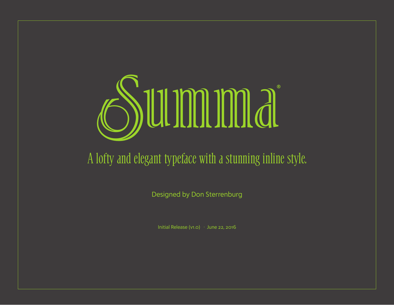

## A lofty and elegant typeface with a stunning inline style.

Designed by Don Sterrenburg

Initial Release (v1.0) · June 22, 2016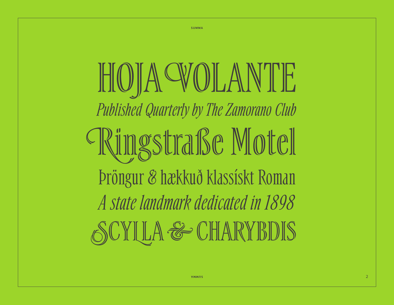HOJA VOLANTE *Published Quarterly by The Zamorano Club* Ringstraße Motel Þröngur & hækkuð klassískt Roman *A state landmark dedicated in 1898* SCYLLA & CHARYBDIS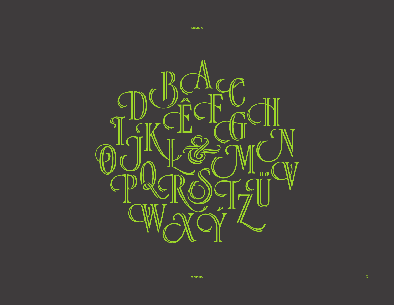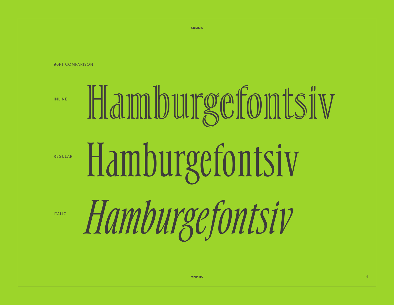**SUMMA**

96PT COMPARISON

INLINE

# Hamburgefontsiv Hamburgefontsiv *Hamburgefontsiv* REGULAR

ITALIC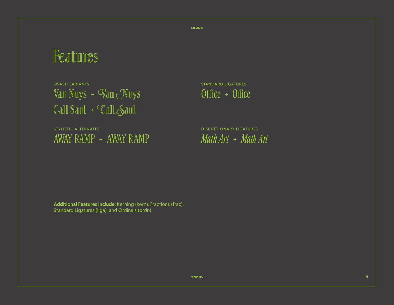**SUMMA**

## Features

SWASH VARIANTS STANDARD LIGATURES Van Nuys →  $\nabla$ an Nuys Office → Office Call Saul → Call Saul

STYLISTIC ALTERNATES DISCRETIONARY LIGATURES AWAY RAMP → AWAY RAMP *Math Art* → *Math Art*

**Additional Features Include:** Kerning (kern), Fractions (frac), Standard Ligatures (liga), and Ordinals (ordn)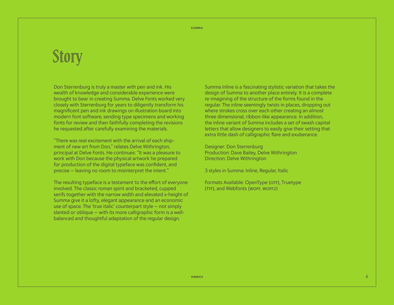# Story

Don Sterrenburg is truly a master with pen and ink. His wealth of knowledge and considerable experience were brought to bear in creating Summa. Delve Fonts worked very closely with Sterrenburg for years to diligently transform his magnificent pen and ink drawings on illustration board into modern font software, sending type specimens and working fonts for review and then faithfully completing the revisions he requested after carefully examining the materials.

"There was real excitement with the arrival of each shipment of new art from Don," relates Delve Withrington, principal at Delve Fonts. He continues: "It was a pleasure to work with Don because the physical artwork he prepared for production of the digital typeface was confident, and precise — leaving no room to misinterpret the intent."

The resulting typeface is a testament to the effort of everyone involved. The classic roman spirit and bracketed, cupped serifs together with the narrow width and elevated x-height of Summa give it a lofty, elegant appearance and an economic use of space. The 'true italic' counterpart style — not simply slanted or oblique — with its more calligraphic form is a wellbalanced and thoughtful adaptation of the regular design.

Summa Inline is a fascinating stylistic variation that takes the design of Summa to another place entirely. It is a complete re-imagining of the structure of the forms found in the regular. The inline seemingly twists in places, dropping out where strokes cross over each other creating an almost three dimensional, ribbon-like appearance. In addition, the inline variant of Summa includes a set of swash capital letters that allow designers to easily give their setting that extra little dash of calligraphic flare and exuberance.

Designer: Don Sterrenburg Production: Dave Bailey, Delve Withrington Direction: Delve Withrington

3 styles in Summa: Inline, Regular, Italic

Formats Available: OpenType (OTF), Truetype (TTF), and Webfonts (WOFF, WOFF2)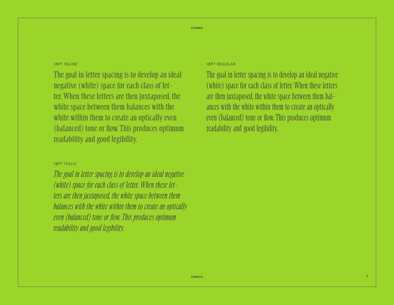#### 18PT INLINE

The goal in letter spacing is to develop an ideal negative (white) space for each class of letter. When these letters are then juxtaposed, the white space between them balances with the white within them to create an optically even (balanced) tone or flow. This produces optimum readability and good legibility.

#### 18PT ITALIC

*The goal in letter spacing is to develop an ideal negative (white) space for each class of letter. When these letters are then juxtaposed, the white space between them balances with the white within them to create an optically even (balanced) tone or flow. This produces optimum readability and good legibility.*

#### 18PT REGULAR

The goal in letter spacing is to develop an ideal negative (white) space for each class of letter. When these letters are then juxtaposed, the white space between them bal� ances with the white within them to create an optically even (balanced) tone or flow. This produces optimum readability and good legibility.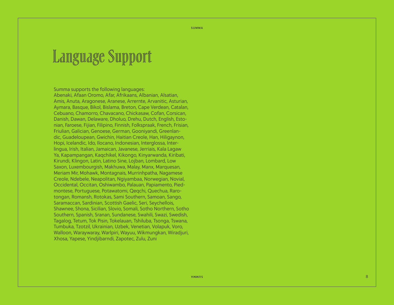# Language Support

Summa supports the following languages: Abenaki, Afaan Oromo, Afar, Afrikaans, Albanian, Alsatian, Amis, Anuta, Aragonese, Aranese, Arrernte, Arvanitic, Asturian, Aymara, Basque, Bikol, Bislama, Breton, Cape Verdean, Catalan, Cebuano, Chamorro, Chavacano, Chickasaw, Cofan, Corsican, Danish, Dawan, Delaware, Dholuo, Drehu, Dutch, English, Esto nian, Faroese, Fijian, Filipino, Finnish, Folkspraak, French, Frisian, Friulian, Galician, Genoese, German, Gooniyandi, Greenlan dic, Guadeloupean, Gwichin, Haitian Creole, Han, Hiligaynon, Hopi, Icelandic, Ido, Ilocano, Indonesian, Interglossa, Inter lingua, Irish, Italian, Jamaican, Javanese, Jerriais, Kala Lagaw Ya, Kapampangan, Kaqchikel, Kikongo, Kinyarwanda, Kiribati, Kirundi, Klingon, Latin, Latino Sine, Lojban, Lombard, Low Saxon, Luxembourgish, Makhuwa, Malay, Manx, Marquesan, Meriam Mir, Mohawk, Montagnais, Murrinhpatha, Nagamese Creole, Ndebele, Neapolitan, Ngiyambaa, Norwegian, Novial, Occidental, Occitan, Oshiwambo, Palauan, Papiamento, Pied montese, Portuguese, Potawatomi, Qeqchi, Quechua, Raro tongan, Romansh, Rotokas, Sami Southern, Samoan, Sango, Saramaccan, Sardinian, Scottish Gaelic, Seri, Seychellois, Shawnee, Shona, Sicilian, Slovio, Somali, Sotho Northern, Sotho Southern, Spanish, Sranan, Sundanese, Swahili, Swazi, Swedish, Tagalog, Tetum, Tok Pisin, Tokelauan, Tshiluba, Tsonga, Tswana, Tumbuka, Tzotzil, Ukrainian, Uzbek, Venetian, Volapuk, Voro, Walloon, Waraywaray, Warlpiri, Wayuu, Wikmungkan, Wiradjuri, Xhosa, Yapese, Yindjibarndi, Zapotec, Zulu, Zuni

8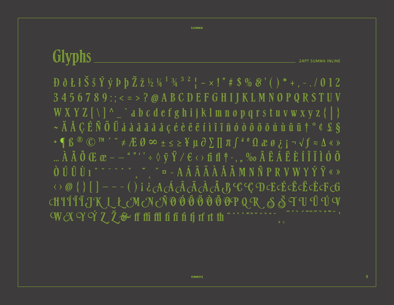Glyphs **24PT SUMMA INLINE** 3456789:; < = >? @ A B C D E F G H I J K L M N O P Q R S T U V WXYZ V X X X abcdef g hijklm nopqrstuvwxyz { | }  $\sim$  Ä Å Ç É Ñ Ö Ü á à â ä ä å å å ç é è ê ë í ì î ï ñ ó ò ô ö ö ú ù û û iï  $\dagger$  ° ¢ £ §  $\mathcal{L} \bullet \P \mathbb{B} \cong \mathbb{C}$   $\mathbb{C}$   $\mathbb{C}$   $\mathbb{C}$   $\mathbb{C}$   $\mathbb{C}$   $\mathbb{C}$   $\mathbb{C}$   $\mathbb{C}$   $\mathbb{C}$   $\mathbb{C}$   $\mathbb{C}$   $\mathbb{C}$   $\mathbb{C}$   $\mathbb{C}$   $\mathbb{C}$   $\mathbb{C}$   $\mathbb{C}$   $\mathbb{C}$   $\mathbb{C}$   $\mathbb{C}$   $\mathbb{C}$   $\mathbb$  $\ldots \mathring{A} \mathring{A} \mathring{O} \times \mathbb{C} \mathbb{C} \mathbb{C} \mathbb{C} \mathbb{C} \mathbb{C} \mathbb{C} \mathbb{C} \mathbb{C} \mathbb{C} \mathbb{C} \mathbb{C} \mathbb{C} \mathbb{C} \mathbb{C} \mathbb{C} \mathbb{C} \mathbb{C} \mathbb{C} \mathbb{C} \mathbb{C} \mathbb{C} \mathbb{C} \mathbb{C} \mathbb{C} \mathbb{C} \mathbb{C} \mathbb{C} \mathbb{C} \mathbb{C} \mathbb{C} \mathbb{C} \mathbb{C$ CHIÍÎÏJK L Ł M N N Ď Đ Đ Đ Đ Đ Q R S Š T U Ü Ú V WXYÝZŽ&fffifififififififififififififi

**SUMMA**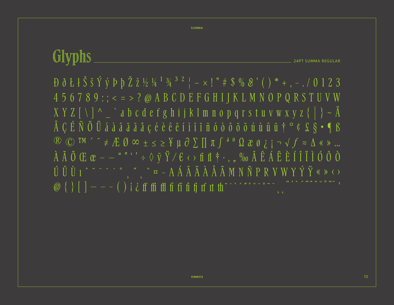**SUMMA** 

### Glyphs **24PT SUMMA REGULAR**

 $456789$ :; < = > ? @ A B C D E F G H I J K L M N O P Q R S T U V W  $X Y Z \wedge \neg \wedge \neg$  abcdef g hij k l m n o p q r s t u v w x y z {  $\wedge$  } ~  $\ddot{A}$ Å ÇÉÑ Ö Ü á à â ä ã å ç é è è ë í ì î ï ñ ó ò ô ö õ ú ù û ü † ° ¢ £ § • ¶ ß  $\mathbb{R}$   $\mathbb{C}$  TM ' "  $\neq$   $\mathbb{E}$   $\emptyset$   $\infty$   $\pm$   $\leq$   $\geq$   $\frac{V}{I}$   $\mu$   $\partial$   $\sum$   $\prod$   $\pi$   $\int$   $\leftarrow$   $\Omega$   $\partial$   $\partial$   $\int$   $i$   $\pi$   $\sqrt{f}$   $\approx$   $\Delta$   $\ll$   $\gg$  ...  $\tilde{A} \tilde{A} \tilde{O} \times \mathbb{C}$   $\mathbb{C}$   $-$  " " ' ' ÷  $\diamond$  y  $\ddot{Y} \times \mathbb{C}$   $\leftrightarrow$  fi fl  $\dagger$   $\cdot$  , " ‰  $\hat{A} \hat{E} \hat{A} \hat{E} \hat{E} \hat{I} \hat{I} \hat{I} \hat{I} \hat{O} \hat{O} \hat{O}$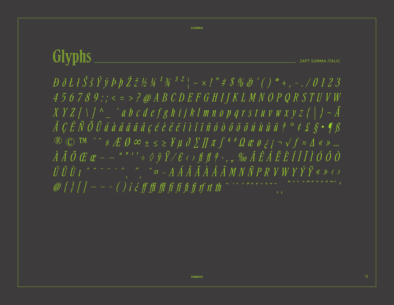## Glyphs **24PT SUMMA ITALIC**

**SUMMA** 

 $D \del t \del t \del S \del s \acute t \acute y \acute P \acute p \acute Z \del z \acute z \acute w \del t \acute w \del t \acute w \del t \acute w \del t \acute w \del t \acute w \del t \acute w \del t \acute w \del t \acute w \del t \acute w \del t \acute w \del t \acute w \del t \acute w \del t \acute w \del t \acute w \del t \acute w \del t \acute w \del t \acute w \del t \acute w \del t \acute w \del t \acute w \del t \acute w \del t \acute w \del t \acute w \del t \acute w \del t \acute w \del t \acute w \del t \acute w \del t \acute w \del t \acute w \del t \acute w \del t$  $456789... \leq z > P @ABCDEFGHJJKLMNOPQRSTUVW$  $XYZ \bigcap Y \bigcap Y \bigcap Y$  abcdef ghijklmnop qrstuvwxyz{|} ~  $\ddot{A}$  $\AA$  CÉÑ ÖÜ á à â â ä ã å ç é è ê ë í ì î ï ñ ó ò ô ö õ ú ù û ü  $\ddot{r}$   $\circ$  ¢  $\pounds$   $S \cdot \P$   $S$  $\mathbb{R}$   $\mathbb{C}$  TM  $\prime$  "  $\neq$   $\#$   $\emptyset$   $\infty$   $\pm$   $\leq$   $\geq$   $\frac{V}{I}$   $\mu$   $\partial$   $\sum$   $\iint \pi$   $\int$   $\left(\begin{array}{cc} a & 0 & 0 \ a & \beta & i \end{array}\right)$   $\rightarrow$   $\int$   $\approx$   $\Delta$   $\ll$   $\gg$  ...  $\hat{A} \tilde{A} \tilde{O} \mathbb{C} \mathbb{C} \mathbb{C} \mathbb{C} \mathbb{C}^{-1} \mathbb{C} \mathbb{C} \mathbb{C} \mathbb{C} \rightarrow \hat{B} \mathbb{C} \mathbb{C} \mathbb{C} \rightarrow \hat{C} \mathbb{C} \mathbb{C} \mathbb{C} \rightarrow \hat{C} \mathbb{C} \mathbb{C} \mathbb{C} \rightarrow \hat{C} \mathbb{C} \mathbb{C} \mathbb{C} \rightarrow \hat{C} \mathbb{C} \mathbb{C} \mathbb{C} \rightarrow \hat{C} \mathbb{C} \mathbb{C} \math$  $\begin{array}{ccccccccccccc} \hat{U} & \hat{U} & \hat{U} & \iota & \hat{I} & \hat{I} & \hat{I} & \hat{I} & \hat{I} & \hat{I} & \hat{I} & \hat{I} & \hat{I} & \hat{I} & \hat{I} & \hat{I} & \hat{I} & \hat{I} & \hat{I} & \hat{I} & \hat{I} & \hat{I} & \hat{I} & \hat{I} & \hat{I} & \hat{I} & \hat{I} & \hat{I} & \hat{I} & \hat{I} & \hat{I} & \hat{I} & \hat{I} & \hat{I} & \hat{I} & \hat$